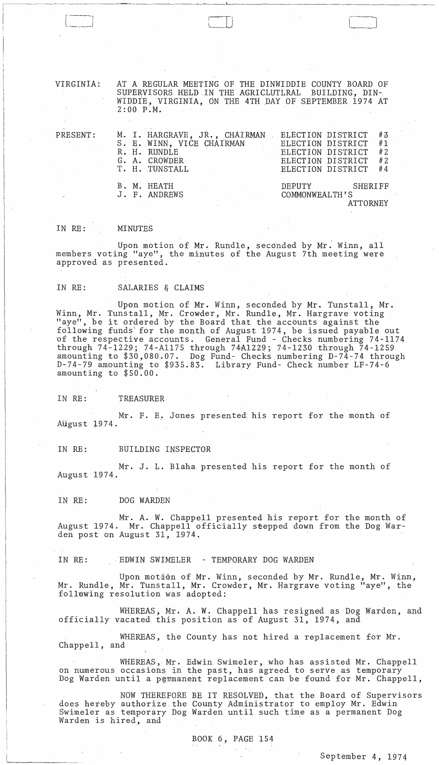VIRGINIA: AT A REGULAR MEETING OF THE DINWIDDIE COUNTY BOARD OF SUPERVISORS HELD IN THE AGRICLUTIRAL BUILDING, DIN-SUPERVISORS HELD IN THE AGRICLUTLRAL WIDDIE, VIRGINIA, ON THE 4TH DAY OF SEPTEMBER 1974 AT 2:00 P.M.

 $\sqrt{2}$ مناسستند ا

| $\mathtt{PRESENT}$ : | M. I. HARGRAVE, JR., CHAIRMAN . ELECTION DISTRICT #3 |                   |                |                      |    |
|----------------------|------------------------------------------------------|-------------------|----------------|----------------------|----|
|                      | S. E. WINN, VICE CHAIRMAN                            |                   |                | ELECTION DISTRICT #1 |    |
|                      | $R_{\bullet}$ $H_{\bullet}$ RUNDLE                   |                   |                | ELECTION DISTRICT    | #2 |
|                      | G. A. CROWDER                                        | ELECTION DISTRICT |                |                      | #2 |
|                      | T. H. TUNSTALL                                       |                   |                | ELECTION DISTRICT    | #4 |
|                      | B. M. HEATH                                          |                   | DEPUTY         | SHERIFF              |    |
|                      | J. F. ANDREWS                                        |                   | COMMONWEALTH'S |                      |    |
|                      |                                                      |                   |                | ATTORNEY             |    |

#### IN RE: MINUTES

---~--~-------------~-

 $\begin{pmatrix} -1 \\ -1 \end{pmatrix}$  $\lfloor$   $\rfloor$ 

Upon motion of Mr. Rundle, seconded by Mr. Winn, all members voting "aye", the minutes of the August 7th meeting were approved as presented.

# IN RE: SALARIES & CLAIMS

Upon motion of Mr. Winn, seconded by Mr. Tunstall, Mr. Winn, Mr. Tunstall, Mr. Crowder, Mr. Rundle, Mr. Hargrave voting "aye", be it ordered by the Board that the accounts against the following funds' for the month of August 1974, be issued payable out of the respective accounts. General Fund - Checks numbering 74-1174 through 74-1229; 74-Al175 through 74A1229; 74-1230 through 74-1259 amounting to \$30,080.07. Dog Fund- Checks numbering D-74-74 through D-74-79 amounting to \$935.83. Library Fund- Check number LF-74-6 amounting to \$50.00.

IN RE: TREASURER

Mr. F. E. Jones presented his report for the month of August 1974.

IN RE: BUILDING INSPECTOR

Mr. J. L. Blaha presented his report for the month of August 1974.

IN RE: DOG WARDEN

Mr. A. W. Chappell presented his report for the month of August 1974. Mr. Chappell officially stepped down from the Dog Warden post on August 31, 1974.

IN RE: BDWIN SWIMELER - TEMPORARY DOG WARDEN

Upon motion of Mr. Winn, seconded by Mr. Rundle, Mr. Winn, Mr. Rundle, Mr. Tunstall, Mr. Crowder, Mr. Hargrave voting "aye", the following resolution was adopted:

WHEREAS, Mr. A. W. Chappell has resigned as Dog Warden, and officially vacated this position as of August 31, 1974, and

WHEREAS, the County has not hired a replacement for Mr. Chappell, and

WHEREAS, Mr. Edwin Swimeler, who has assisted Mr. Chappell on numerous occasions in the past, has agreed to serve as temporary Dog Warden until a permanent replacement can be found for Mr. Chappell,

NOW THEREFORE BE IT RESOLVED, that the Board of Supervisors does hereby authorize, the County Administrator to employ Mr. Edwin Swimeler as temporary Dog Warden until such time as a permanent Dog Warden is hired, and

 $\omega = \pm \sqrt{2}$ 

# BOOK 6, PAGE 154

September 4, 1974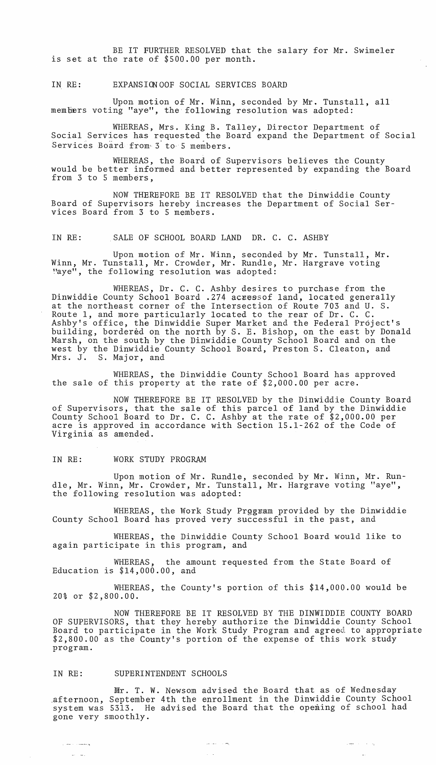BE IT FURTHER RESOLVED that the salary for Mr. Swimeler is set at the rate of \$500.00 per month.

#### IN RE: EXPANSION OOF SOCIAL SERVICES BOARD

Upon motion of Mr. Winn, seconded by Mr. Tunstall, all members voting "aye", the following resolution was adopted:

WHEREAS, Mrs. King B. Talley, Director Department of Social Services has requested the Board expand the Department of Social Services Board from 3 to 5 members.

WHEREAS, the Board of Supervisors believes the County would be better informed and better represented by expanding the Board from 3 to 5 members,

NOW THEREFORE BE IT RESOLVED that the Dinwiddie County Board of Supervisors hereby increases the Department of Social Services Board from 3 to 5 members.

IN RE: SALE OF SCHOOL BOARD LAND DR. C. C. ASHBY

Upon motion of Mr. Winn, seconded by Mr. Tunstall, Mr. Winn, Mr. Tunstall, Mr. Crowder, Mr. Rundle, Mr. Hargrave voting "aye", the following resolution was adopted:

WHEREAS, Dr. C. C. Ashby desires to purchase from the Dinwiddie County School Board .274 acressof land, located generally at the northeast corner of the Intersection of Route 703 and U. S. Route 1, and more particularly located to the rear of Dr. C. C. Ashby's office, the Dinwiddie Super Market and the Federal Project's building, bordered on the north by S. E. Bishop, on the east by Donald Marsh, on the south by the Dinwiddie County School Board and on the west by the Dinwiddie County School Board, Preston S. Cleaton, and<br>Mrs. J. S. Major, and S. Major, and

WHEREAS, the Dinwiddie County School Board has approved the sale of this property at the rate of \$2,000.00 per acre.

NOW THEREFORE BE IT RESOLVED by the Dinwiddie County Board of Supervisors, that the sale of this parcel of land by the Dinwiddie County School Board to Dr. C. C. Ashby at the rate of \$2,000.00 per acre is approved in accordance with Section 15.1-262 of the Code of Virginia as amended.

#### IN RE: WORK STUDY PROGRAM

Upon motion of Mr. Rundle, seconded by Mr. Winn, Mr. Rundle, Mr. Winn, Mr. Crowder, Mr. Tunstall, Mr. Hargrave voting "aye", the following resolution was adopted:

WHEREAS, the Work Study Prggram provided by the Dinwiddie County School Board has proved very successful in the past, and

WHEREAS, the Dinwiddie County School Board would like to again participate in this program, and

WHEREAS, the amount requested from the State Board of Education is \$14,000.00, and

WHEREAS, the County's portion of this \$14,000.00 would be 20% or \$2,800.00.

NOW THEREFORE BE IT RESOLVED BY THE DINWIDDIE COUNTY BOARD OF SUPERVISORS, that they hereby authorize the Dinwiddie County School Board to participate in the Work Study Program and agreed to appropriate \$2,800.00 as the County's portion of the expense of this work study program.

## IN RE: SUPERINTENDENT SCHOOLS

ومصطلات لمعان

المساريب

Wr. T. W. Newsom advised the Board that as of Wednesday afternoon, September 4th the enrollment in the Dinwiddie County School system was 5313. He advised the Board that the opening of school had gone very smoothly.

**Superior Strate** 

 $\sim$ 

 $\omega$  ,  $\omega$  ,  $\omega$  ,  $\omega_{\rm s}$ 

 $\sim 10$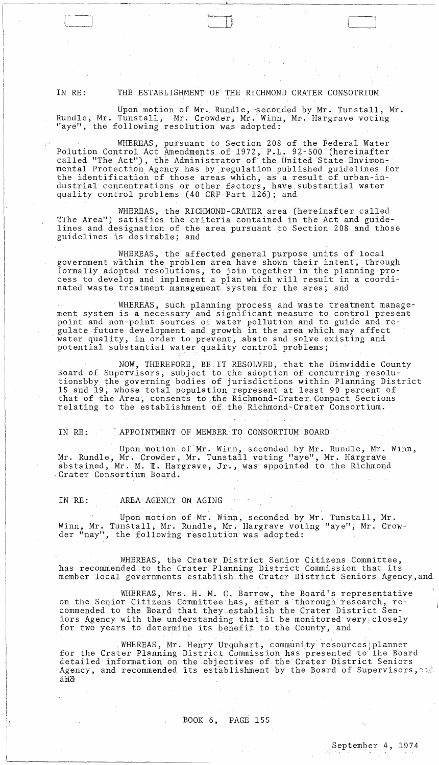IN RE: THE ESTABLISHMENT OF THE RICHMOND CRATER CONSOTRIUM

Upon motion of Mr. Rundle, seconded by Mr. Tunstall, Mr. Rundle, Mr. Tunstall, Mr. Crowder, Mr. Winn, Mr. Hargrave voting "aye", the following resolution was adopted:

WHEREAS, pursuant to Section 208 of the Federal Water Polution Control Act Amendments of 1972, P.L. 92-500 (hereinafter called "The Act"), the Administrator of the United State Environmental Protection Agency has by regulation published guidelines for the identification of those areas which, as a result of urban-industrial concentrations or other factors, have substantial water quality control problems (40 CRF Part 126); and

WHEREAS, the RICHMOND-CRATER area (hereinafter called "The Area") satisfies the criteria contained in the Act and guidelines and designation of the area pursuant to Section 208 and those guidelines is desirable; and

WHEREAS, the affected general purpose units of local government within the problem area have shown their intent, through formally adopted resolutions, to join together in the planning process to develop and implement a plan which will result in a coordinated waste treatment management system for the area; and

WHEREAS, such planning process and waste treatment management system is a necessary and significant measure to control present point and non-point sources of water pollution and to guide and regulate future development and growth in the area which may affect water quality, in order to prevent, abate and solve existing and potential substantial water quality control problems;

NOW, THEREFORE, BE IT RESOLVED, that the Dinwiddie County Board of Supervisors, subject to the adoption of concurring resolu-<br>tionsbby the governing bodies of jurisdictions within Planning District 15 and 19, whose total population represent at least 90 percent of that of the Area, consents to the Richmond-Crater Compact Sections relating to the establishment of the Richmond-Crater Consortium.

APPOINTMENT OF MEMBER TO CONSORTIUM BOARD IN RE:

Upon motion of Mr. Winn, seconded by Mr. Rundle, Mr. Winn, Mr. Rundle, Mr. Crowder, Mr. Tunstall voting "aye", Mr. Hargrave abstained, Mr. M. T. Hargrave, Jr., was appointed to the Richmond Crater Consortium Board.

#### IN RE: AREA AGENCY ON AGING

Upon motion of Mr. Winn, seconded by Mr. Tunstall, Mr. Winn, Mr. Tunstall, Mr. Rundle, Mr. Hargrave voting "aye", Mr. Crowder "nay", the following resolution was adopted:

WHEREAS, the Crater District Senior Citizens Committee, has recommended to the Crater Planning District Commission that its member local governments establish the Crater District Seniors Agency, and

WHEREAS, Mrs. H. M. C. Barrow, the Board's representative on the Senior Citizens Committee has, after a thorough research, recommended to the Board that they establish the Crater District Seniors Agency with the understanding that it be monitored very closely for two years to determine its benefit to the County, and

WHEREAS, Mr. Henry Urquhart, community resources planner for the Crater Planning District Commission has presented to the Board detailed information on the objectives of the Crater District Seniors<br>Agency, and recommended its establishment by the Board of Supervisors, and

# BOOK 6, PAGE 155

 $\mathcal{A}^{\mathrm{c}}$  and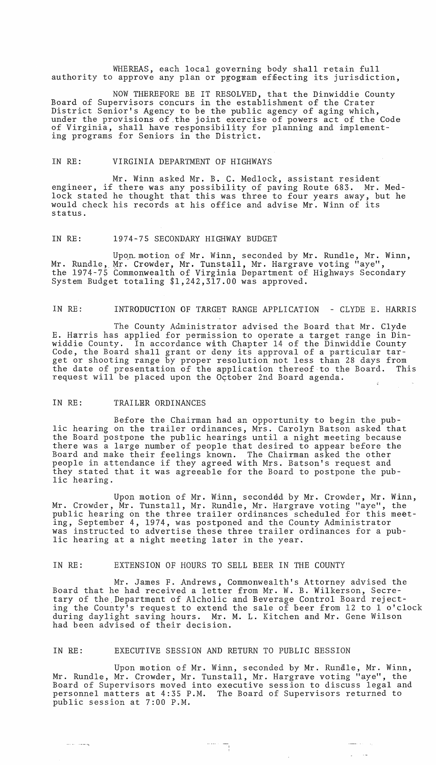WHEREAS, each local governing body shall retain full authority to approve any plan or program effecting its jurisdiction,

NOW THEREFORE BE IT RESOLVED, that the Dinwiddie County Board of Supervisors concurs in the establishment of the Crater District Senior's Agency to be the public agency of aging which, under the provisions of .the joint exercise of powers act of the Code of Virginia, shall have responsibility for planning and implementing programs for Seniors in the District.

#### IN RE: VIRGINIA DEPARTMENT OF HIGHWAYS

Mr. Winn asked Mr. B. C. Medlock, assistant resident engineer, if there was any possibility of paving Route 683. Mr. Medlock stated he thought that this was three to four years away, but he would check his records at his office and advise Mr. Winn of its status.

#### IN RE: 1974-75 SECONDARY HIGHWAY BUDGET

Upon motion of Mr. Winn, seconded by Mr. Rundle, Mr. Winn, Mr. Rundle, Mr. Crowder, Mr. Tunstall, Mr. Hargrave voting "aye", the 1974-75 Commonwealth of Virginia Department of Highways Secondary System Budget totaling \$1,242,317.00 was approved.

### IN RE: INTRODUCTION OF TARGET RANGE APPLICATION - CLYDE E. HARRIS

The County Administrator advised the Board that Mr. Clyde E. Harris has applied for permission to operate a target range in Dinwiddie County. In accordance with Chapter 14 of the Dinwiddie County Code, the Board shall grant or deny its approval of a particular target or shooting range by proper resolution not less than 28 days from the date of presentation of the application thereof·to the Board. This request will be placed upon the October 2nd Board agenda.

### IN RE: TRAILER ORDINANCES

Before the Chairman had an opportunity to begin the public hearing on the trailer ordinances, Mrs. Carolyn Batson asked that the Board postpone the public hearings until a night meeting because there was a large number of people that desired to appear before the Board and make their feelings known. The Chairman asked the other people in attendance if they agreed with Mrs. Batson's request and they stated that it was agreeable for the Board to postpone the public hearing.

Upon motion of Mr. Winn, seconded by Mr. Crowder, Mr. Winn, Mr. Crowder, Mr. Tunstall, Mr. Rundle, Mr. Hargrave voting "aye", the public hearing on the three trailer ordinances scheduled for this meeting, September 4, 1974, was postponed and the County Administrator was instructed to advertise these three trailer ordinances for a public hearing at a night meeting later in the year.

## IN RE: EXTENSION OF HOURS TO SELL BEER IN THE COUNTY

Mr. James F. Andrews, Commonwealth's Attorney advised the Board that he had received a letter from Mr. W. B. Wilkerson, Secretary of the. Department of Alcholic and Beverage Control Board rejecting the County's request to extend the sale of beer from 12 to 1 o'clock during daylight saving hours. Mr. M. L. Kitchen and Mr. Gene Wilson had been advised of their decision.

## IN RE: EXECUTIVE SESSION AND RETURN TO PUBLIC SESSION

Upon motion of Mr. Winn, seconded by Mr. Rundle, Mr. Winn, Mr. Rundle, Mr. Crowder, Mr. Tunstall, Mr. Hargrave voting "aye", the Board of Supervisors moved into executive session to discuss legal and personnel matters at 4:35 P.M. The Board of Supervisors returned to public session at 7:00 P.M.

> الموارد والمست  $\omega_{\rm{max}}$

 $\frac{1}{\sqrt{2}}\left( \frac{1}{\sqrt{2}}\right) =\frac{1}{\sqrt{2}}\left( \frac{1}{\sqrt{2}}\right)$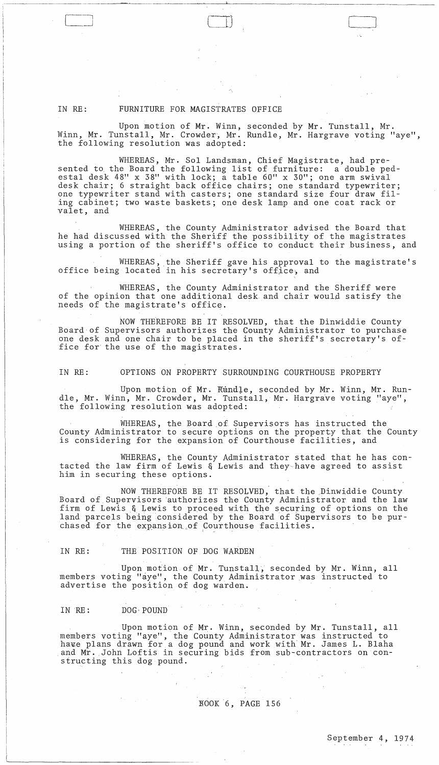# IN RE: FURNITURE FOR MAGISTRATES OFFICE

Upon motion of Mr. Winn, seconded by Mr. Tunstall, Mr. Winn, Mr. Tunstall, Mr. Crowder, Mr. Rundle, Mr. Hargrave voting "aye", the following resolution was adopted:

 $\overline{\mathbb{CD}}$ 

WHEREAS, Mr. Sol Landsman, Chief Magistrate, had presented to the Board the following list of furniture: a double pedestal desk 48" x 38" with lock; a table 60" x 30"; one arm swival desk chair; 6 straight back office chairs; one standard typewriter; one typewriter stand with casters; one standard size four draw filing cabinet; two waste baskets; one desk lamp and one coat rack or valet, and

WHEREAS, the County Administrator advised the Board that he had discussed with the Sheriff the possibility of the magistrates using a portion of the sheriff's office to conduct their business, and

WHEREAS, the Sheriff gave his approval to the magistrate's office being located in his secretary's office, and

WHEREAS, the County Administrator and the Sheriff were of the opinion that one additional desk and chair would satisfy the needs of the magistrate's office.

NOW THEREFORE BE IT RESOLVED, that the Dinwiddie County Board·of Supervisors authorizes the County Administrator to purchase one desk and one chair to be placed in the sheriff's secretary's office for' the use of the magistrates.

IN RE: OPTIONS ON PROPERTY SURROUNDING COURTHOUSE PROPERTY

Upon motion of Mr. Rundle, seconded by Mr. Winn, Mr. Rundle, Mr. Winn, Mr. Crowder, Mr. Tunstall, Mr. Hargrave voting "aye", the following resolution was adopted:

WHEREAS, the Board of Supervisors has instructed the County Administrator to secure options on the property that the County is considering for the expansion of Courthouse facilities, and

WHEREAS, the County Administrator stated that he has contacted the law firm of Lewis & Lewis and they,have agreed to assist him in securing these options.

NOW THEREFORE BE IT RESOLVED, that the Dinwiddie County Board of, Supervisors 'authorizes the County Administrator and the law firm of Lewis & Lewis to proceed with the securing of options on the land parcels being considered by the Board of Supervisors to be purchased for the expansion of Courthouse facilities.

# IN RE: THE POSITION OF DOG WARDEN

Upon motion of Mr. Tunstall, seconded by Mr. Winn, all members voting "aye", the County Administrator was instructed to advertise the position of dog warden.

### IN RE: DOG POUND

 $\mathcal{O}(\mathcal{E}^{\mathcal{A}}_{\mathcal{A}})$  , where  $\mathcal{E}$ 

Upon motion of Mr. Winn, seconded by Mr. Tunstall, all members voting "aye", the County Administrator was instructed to ha~e plans drawn for a dog pound and work with'Mr. James **L.** Blaha and Mr. John Loftis in securing bids from sub-contractors on constructing this dog pound.

## NOOK 6, PAGE 156